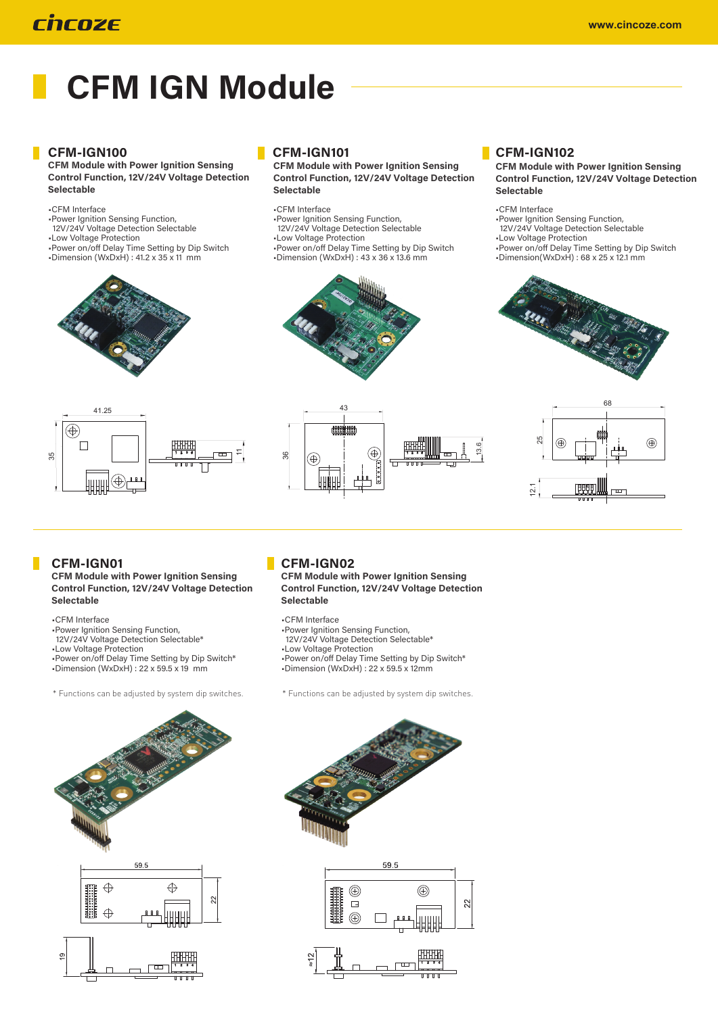# rhrnze

# **CFM IGN Module**

### **CFM-IGN100**

**CFM Module with Power Ignition Sensing Control Function, 12V/24V Voltage Detection** Selectable

•CFM Interface

•Power Ignition Sensing Function, 12V/24V Voltage Detection Selectable •Low Voltage Protection •Power on/off Delay Time Setting by Dip Switch<br>•Dimension (WxDxH) : 41.2 x 35 x 11 mm





## CFM-IGN101

**CFM Module with Power Ignition Sensing Control Function, 12V/24V Voltage Detection** Selectable

•CFM Interface

- •Power Ignition Sensing Function, 12V/24V Voltage Detection Selectable
- •Low Voltage Protection
- 
- •Power on/off Delay Time Setting by Dip Switch<br>•Dimension (WxDxH) : 43 x 36 x 13.6 mm



43

#### CFM-IGN102

**CFM Module with Power Ignition Sensing Control Function, 12V/24V Voltage Detection** Selectable

•CFM Interface

13.6

•Power Ignition Sensing Function, 12V/24V Voltage Detection Selectable

•Low Voltage Protection

•Power on/off Delay Time Setting by Dip Switch<br>•Dimension(WxDxH) : 68 x 25 x 12.1 mm





## CFM-IGN01

**CFM Module with Power Ignition Sensing Control Function, 12V/24V Voltage Detection** Selectable

- •CFM Interface
- •Power Ignition Sensing Function,
- 12V/24V Voltage Detection Selectable\*
- •Low Voltage Protection
- •Power on/off Delay Time Setting by Dip Switch\*
- •Dimension (WxDxH) : 22 x 59.5 x 19 mm
- \* Functions can be adjusted by system dip switches. \* Functions can be adjusted by system dip switches.



 $\circledast$ 

్ల

**CFM Module with Power Ignition Sensing Control Function, 12V/24V Voltage Detection** Selectable

⊕

 $\overline{\mathbf{u}}$ 

興典

•CFM Interface

- •Power Ignition Sensing Function,
- 12V/24V Voltage Detection Selectable\*
- •Low Voltage Protection
- •Power on/off Delay Time Setting by Dip Switch\* •Dimension (WxDxH) : 22 x 59.5 x 12mm